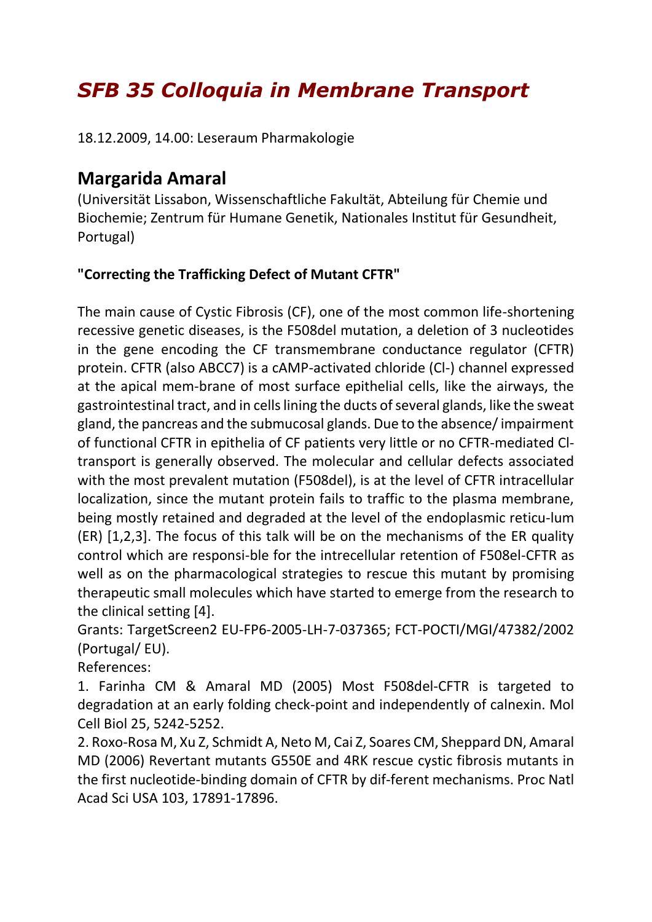## *SFB 35 Colloquia in Membrane Transport*

18.12.2009, 14.00: Leseraum Pharmakologie

## **Margarida Amaral**

(Universität Lissabon, Wissenschaftliche Fakultät, Abteilung für Chemie und Biochemie; Zentrum für Humane Genetik, Nationales Institut für Gesundheit, Portugal)

## **"Correcting the Trafficking Defect of Mutant CFTR"**

The main cause of Cystic Fibrosis (CF), one of the most common life-shortening recessive genetic diseases, is the F508del mutation, a deletion of 3 nucleotides in the gene encoding the CF transmembrane conductance regulator (CFTR) protein. CFTR (also ABCC7) is a cAMP-activated chloride (Cl-) channel expressed at the apical mem-brane of most surface epithelial cells, like the airways, the gastrointestinal tract, and in cells lining the ducts of several glands, like the sweat gland, the pancreas and the submucosal glands. Due to the absence/ impairment of functional CFTR in epithelia of CF patients very little or no CFTR-mediated Cltransport is generally observed. The molecular and cellular defects associated with the most prevalent mutation (F508del), is at the level of CFTR intracellular localization, since the mutant protein fails to traffic to the plasma membrane, being mostly retained and degraded at the level of the endoplasmic reticu-lum (ER) [1,2,3]. The focus of this talk will be on the mechanisms of the ER quality control which are responsi-ble for the intrecellular retention of F508el-CFTR as well as on the pharmacological strategies to rescue this mutant by promising therapeutic small molecules which have started to emerge from the research to the clinical setting [4].

Grants: TargetScreen2 EU-FP6-2005-LH-7-037365; FCT-POCTI/MGI/47382/2002 (Portugal/ EU).

References:

1. Farinha CM & Amaral MD (2005) Most F508del-CFTR is targeted to degradation at an early folding check-point and independently of calnexin. Mol Cell Biol 25, 5242-5252.

2. Roxo-Rosa M, Xu Z, Schmidt A, Neto M, Cai Z, Soares CM, Sheppard DN, Amaral MD (2006) Revertant mutants G550E and 4RK rescue cystic fibrosis mutants in the first nucleotide-binding domain of CFTR by dif-ferent mechanisms. Proc Natl Acad Sci USA 103, 17891-17896.